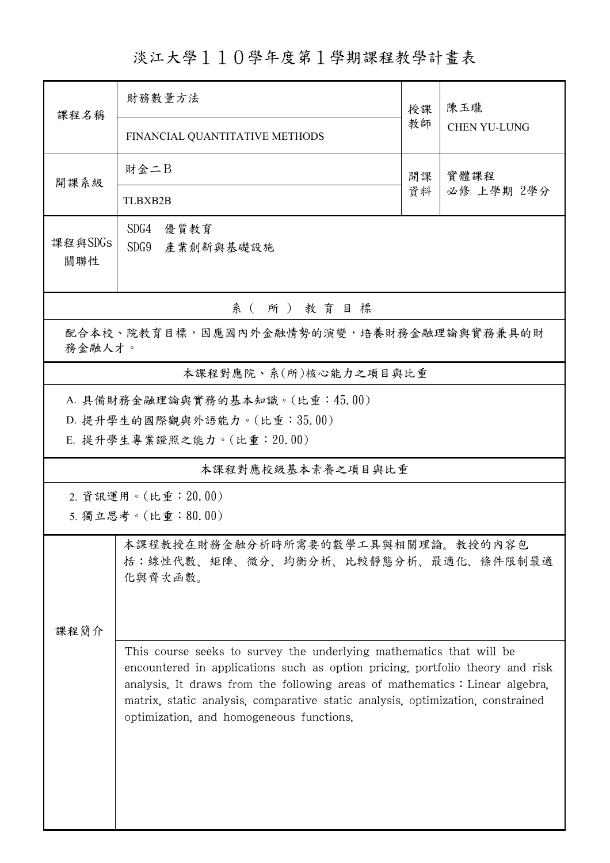淡江大學110學年度第1學期課程教學計畫表

| 課程名稱                                                                                        | 財務數量方法                                                                                                                                                                                                                                                                                                                                                             |          | 陳玉瓏                 |  |  |  |  |  |  |  |
|---------------------------------------------------------------------------------------------|--------------------------------------------------------------------------------------------------------------------------------------------------------------------------------------------------------------------------------------------------------------------------------------------------------------------------------------------------------------------|----------|---------------------|--|--|--|--|--|--|--|
|                                                                                             | FINANCIAL QUANTITATIVE METHODS                                                                                                                                                                                                                                                                                                                                     | 教師       | <b>CHEN YU-LUNG</b> |  |  |  |  |  |  |  |
| 開課系級                                                                                        | 財金二B                                                                                                                                                                                                                                                                                                                                                               | 開課<br>資料 | 實體課程<br>必修 上學期 2學分  |  |  |  |  |  |  |  |
|                                                                                             | <b>TLBXB2B</b>                                                                                                                                                                                                                                                                                                                                                     |          |                     |  |  |  |  |  |  |  |
| 課程與SDGs<br>關聯性                                                                              | SDG4<br>優質教育<br>SDG9<br>產業創新與基礎設施                                                                                                                                                                                                                                                                                                                                  |          |                     |  |  |  |  |  |  |  |
| 系(所)教育目標                                                                                    |                                                                                                                                                                                                                                                                                                                                                                    |          |                     |  |  |  |  |  |  |  |
| 配合本校、院教育目標,因應國內外金融情勢的演變,培養財務金融理論與實務兼具的財<br>務金融人才。                                           |                                                                                                                                                                                                                                                                                                                                                                    |          |                     |  |  |  |  |  |  |  |
|                                                                                             | 本課程對應院、系(所)核心能力之項目與比重                                                                                                                                                                                                                                                                                                                                              |          |                     |  |  |  |  |  |  |  |
| A. 具備財務金融理論與實務的基本知識。(比重:45.00)<br>D. 提升學生的國際觀與外語能力。(比重:35.00)<br>E. 提升學生專業證照之能力。(比重: 20.00) |                                                                                                                                                                                                                                                                                                                                                                    |          |                     |  |  |  |  |  |  |  |
|                                                                                             | 本課程對應校級基本素養之項目與比重                                                                                                                                                                                                                                                                                                                                                  |          |                     |  |  |  |  |  |  |  |
| 2. 資訊運用。(比重: 20.00)<br>5. 獨立思考。(比重:80.00)                                                   |                                                                                                                                                                                                                                                                                                                                                                    |          |                     |  |  |  |  |  |  |  |
| 课程简介                                                                                        | 本課程教授在財務金融分析時所需要的數學工具與相關理論。教授的內容包<br>括:線性代數、矩陣、微分、均衡分析、比較靜態分析、最適化、條件限制最適<br>化與齊次函數。                                                                                                                                                                                                                                                                                |          |                     |  |  |  |  |  |  |  |
|                                                                                             | This course seeks to survey the underlying mathematics that will be<br>encountered in applications such as option pricing, portfolio theory and risk<br>analysis. It draws from the following areas of mathematics: Linear algebra,<br>matrix, static analysis, comparative static analysis, optimization, constrained<br>optimization, and homogeneous functions. |          |                     |  |  |  |  |  |  |  |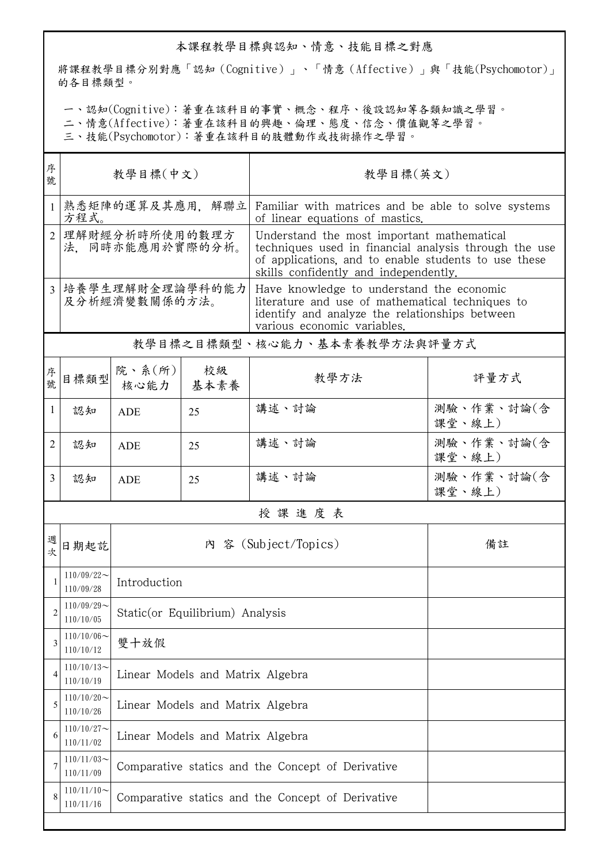## 本課程教學目標與認知、情意、技能目標之對應

將課程教學目標分別對應「認知(Cognitive)」、「情意(Affective)」與「技能(Psychomotor)」 的各目標類型。

一、認知(Cognitive):著重在該科目的事實、概念、程序、後設認知等各類知識之學習。

二、情意(Affective):著重在該科目的興趣、倫理、態度、信念、價值觀等之學習。

三、技能(Psychomotor):著重在該科目的肢體動作或技術操作之學習。

| 序<br>號         | 教學目標(中文)                          |                                                   |            | 教學目標(英文)                                                                                                                                                                                             |                      |  |  |  |
|----------------|-----------------------------------|---------------------------------------------------|------------|------------------------------------------------------------------------------------------------------------------------------------------------------------------------------------------------------|----------------------|--|--|--|
|                | 熟悉矩陣的運算及其應用,解聯立<br>方程式。           |                                                   |            | Familiar with matrices and be able to solve systems<br>of linear equations of mastics.                                                                                                               |                      |  |  |  |
| $\overline{2}$ | 理解財經分析時所使用的數理方<br>法、同時亦能應用於實際的分析。 |                                                   |            | Understand the most important mathematical<br>techniques used in financial analysis through the use<br>of applications, and to enable students to use these<br>skills confidently and independently. |                      |  |  |  |
| 3 <sup>1</sup> | 培養學生理解財金理論學科的能力<br>及分析經濟變數關係的方法。  |                                                   |            | Have knowledge to understand the economic<br>literature and use of mathematical techniques to<br>identify and analyze the relationships between<br>various economic variables.                       |                      |  |  |  |
|                |                                   |                                                   |            | 教學目標之目標類型、核心能力、基本素養教學方法與評量方式                                                                                                                                                                         |                      |  |  |  |
| 序號             | 目標類型                              | 院、系 $(\kappa)$<br>核心能力                            | 校級<br>基本素養 | 教學方法                                                                                                                                                                                                 | 評量方式                 |  |  |  |
| $\mathbf{1}$   | 認知                                | <b>ADE</b>                                        | 25         | 講述、討論                                                                                                                                                                                                | 測驗、作業、討論(含<br>課堂、線上) |  |  |  |
| 2              | 認知                                | <b>ADE</b>                                        | 25         | 講述、討論                                                                                                                                                                                                | 測驗、作業、討論(含<br>課堂、線上) |  |  |  |
| 3              | 認知                                | <b>ADE</b>                                        | 25         | 講述、討論                                                                                                                                                                                                | 測驗、作業、討論(含<br>課堂、線上) |  |  |  |
|                | 授課進度表                             |                                                   |            |                                                                                                                                                                                                      |                      |  |  |  |
| 週次             | 日期起訖                              | 內 容 (Subject/Topics)                              |            |                                                                                                                                                                                                      | 備註                   |  |  |  |
|                | $110/09/22$ ~<br>110/09/28        | Introduction                                      |            |                                                                                                                                                                                                      |                      |  |  |  |
| 2              | $110/09/29$ ~<br>110/10/05        | Static(or Equilibrium) Analysis                   |            |                                                                                                                                                                                                      |                      |  |  |  |
| 3              | $110/10/06$ ~<br>110/10/12        | 雙十放假                                              |            |                                                                                                                                                                                                      |                      |  |  |  |
| 4              | $110/10/13$ ~<br>110/10/19        | Linear Models and Matrix Algebra                  |            |                                                                                                                                                                                                      |                      |  |  |  |
| 5              | $110/10/20$ ~<br>110/10/26        | Linear Models and Matrix Algebra                  |            |                                                                                                                                                                                                      |                      |  |  |  |
| 6              | $110/10/27$ ~<br>110/11/02        | Linear Models and Matrix Algebra                  |            |                                                                                                                                                                                                      |                      |  |  |  |
| 7              | $110/11/03$ ~<br>110/11/09        | Comparative statics and the Concept of Derivative |            |                                                                                                                                                                                                      |                      |  |  |  |
| 8              | $110/11/10$ ~<br>110/11/16        | Comparative statics and the Concept of Derivative |            |                                                                                                                                                                                                      |                      |  |  |  |
|                |                                   |                                                   |            |                                                                                                                                                                                                      |                      |  |  |  |